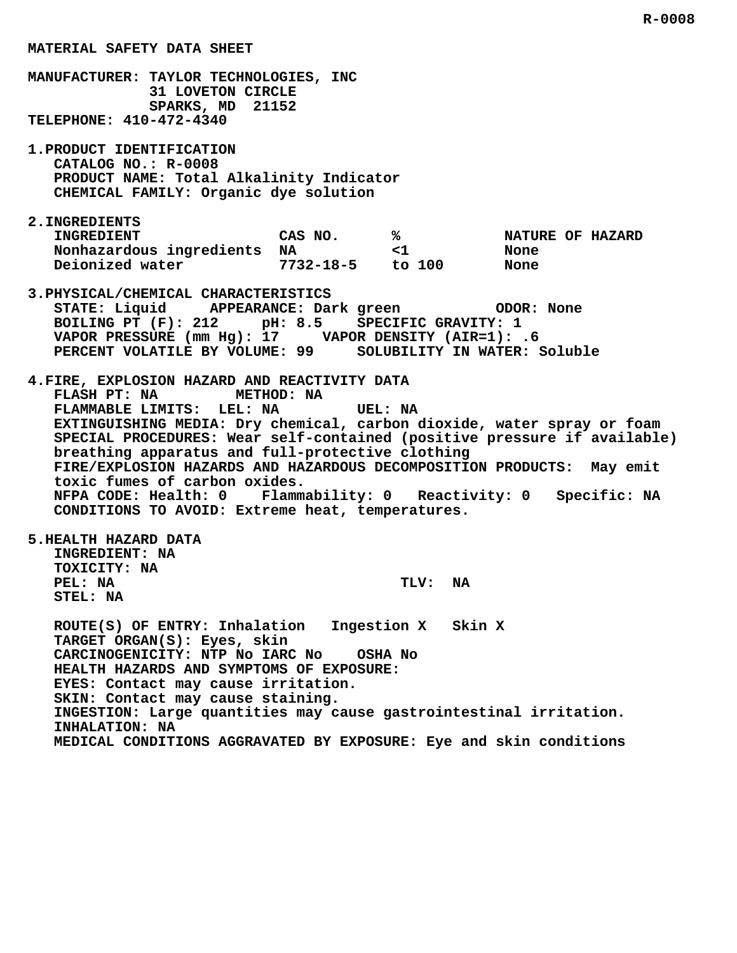**MANUFACTURER: TAYLOR TECHNOLOGIES, INC 31 LOVETON CIRCLE SPARKS, MD 21152 TELEPHONE: 410-472-4340 1.PRODUCT IDENTIFICATION CATALOG NO.: R-0008 PRODUCT NAME: Total Alkalinity Indicator CHEMICAL FAMILY: Organic dye solution 2.INGREDIENTS INGREDIENT CAS NO. % NATURE OF HAZARD Nonhazardous ingredients NA**  $\leq$ 1  $\leq$  None<br>Deionized water 7732-18-5 to 100 None  **Deionized water 7732-18-5 to 100 None 3.PHYSICAL/CHEMICAL CHARACTERISTICS STATE: Liquid APPEARANCE: Dark green ODOR: None BOILING PT (F): 212 pH: 8.5 SPECIFIC GRAVITY: 1 VAPOR PRESSURE (mm Hg): 17 VAPOR DENSITY (AIR=1): .6 PERCENT VOLATILE BY VOLUME: 99 SOLUBILITY IN WATER: Soluble 4.FIRE, EXPLOSION HAZARD AND REACTIVITY DATA FLASH PT: NA METHOD: NA FLAMMABLE LIMITS: LEL: NA UEL: NA EXTINGUISHING MEDIA: Dry chemical, carbon dioxide, water spray or foam SPECIAL PROCEDURES: Wear self-contained (positive pressure if available) breathing apparatus and full-protective clothing FIRE/EXPLOSION HAZARDS AND HAZARDOUS DECOMPOSITION PRODUCTS: May emit toxic fumes of carbon oxides. NFPA CODE: Health: 0 Flammability: 0 Reactivity: 0 Specific: NA CONDITIONS TO AVOID: Extreme heat, temperatures. 5.HEALTH HAZARD DATA INGREDIENT: NA TOXICITY: NA** PEL: NA TLV: NA  **STEL: NA ROUTE(S) OF ENTRY: Inhalation Ingestion X Skin X TARGET ORGAN(S): Eyes, skin CARCINOGENICITY: NTP No IARC No OSHA No HEALTH HAZARDS AND SYMPTOMS OF EXPOSURE: EYES: Contact may cause irritation. SKIN: Contact may cause staining. INGESTION: Large quantities may cause gastrointestinal irritation. INHALATION: NA MEDICAL CONDITIONS AGGRAVATED BY EXPOSURE: Eye and skin conditions**

 **R-0008**

 **MATERIAL SAFETY DATA SHEET**